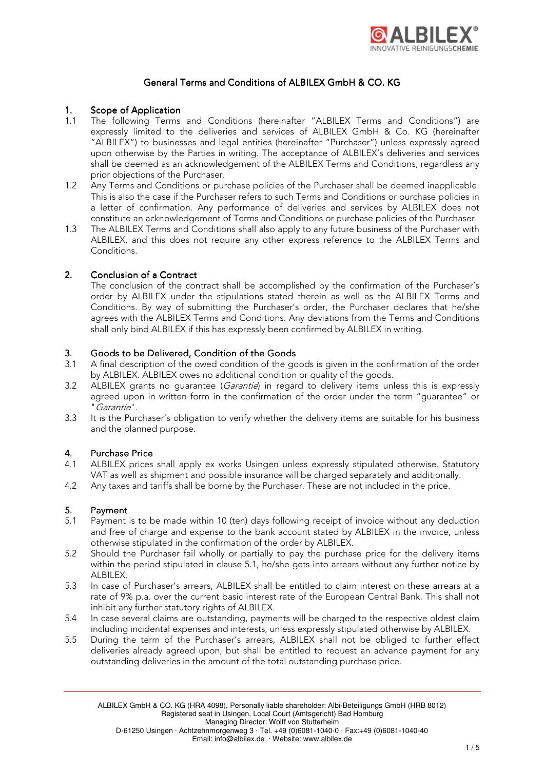

## General Terms and Conditions of ALBILEX GmbH & CO. KG

## 1. Scope of Application

- 1.1 The following Terms and Conditions (hereinafter "ALBILEX Terms and Conditions") are expressly limited to the deliveries and services of ALBILEX GmbH & Co. KG (hereinafter "ALBILEX") to businesses and legal entities (hereinafter "Purchaser") unless expressly agreed upon otherwise by the Parties in writing. The acceptance of ALBILEX's deliveries and services shall be deemed as an acknowledgement of the ALBILEX Terms and Conditions, regardless any prior objections of the Purchaser.
- 1.2 Any Terms and Conditions or purchase policies of the Purchaser shall be deemed inapplicable. This is also the case if the Purchaser refers to such Terms and Conditions or purchase policies in a letter of confirmation. Any performance of deliveries and services by ALBILEX does not constitute an acknowledgement of Terms and Conditions or purchase policies of the Purchaser.
- 1.3 The ALBILEX Terms and Conditions shall also apply to any future business of the Purchaser with ALBILEX, and this does not require any other express reference to the ALBILEX Terms and Conditions.

## 2. Conclusion of a Contract

 The conclusion of the contract shall be accomplished by the confirmation of the Purchaser's order by ALBILEX under the stipulations stated therein as well as the ALBILEX Terms and Conditions. By way of submitting the Purchaser's order, the Purchaser declares that he/she agrees with the ALBILEX Terms and Conditions. Any deviations from the Terms and Conditions shall only bind ALBILEX if this has expressly been confirmed by ALBILEX in writing.

## 3. Goods to be Delivered, Condition of the Goods

- 3.1 A final description of the owed condition of the goods is given in the confirmation of the order by ALBILEX. ALBILEX owes no additional condition or quality of the goods.
- 3.2 ALBILEX grants no guarantee (*Garantie*) in regard to delivery items unless this is expressly agreed upon in written form in the confirmation of the order under the term "guarantee" or "Garantie".
- 3.3 It is the Purchaser's obligation to verify whether the delivery items are suitable for his business and the planned purpose.

## 4. Purchase Price

- 4.1 ALBILEX prices shall apply ex works Usingen unless expressly stipulated otherwise. Statutory VAT as well as shipment and possible insurance will be charged separately and additionally.
- 4.2 Any taxes and tariffs shall be borne by the Purchaser. These are not included in the price.

## 5. Payment

- 5.1 Payment is to be made within 10 (ten) days following receipt of invoice without any deduction and free of charge and expense to the bank account stated by ALBILEX in the invoice, unless otherwise stipulated in the confirmation of the order by ALBILEX.
- 5.2 Should the Purchaser fail wholly or partially to pay the purchase price for the delivery items within the period stipulated in clause 5.1, he/she gets into arrears without any further notice by ALBILEX.
- 5.3 In case of Purchaser's arrears, ALBILEX shall be entitled to claim interest on these arrears at a rate of 9% p.a. over the current basic interest rate of the European Central Bank. This shall not inhibit any further statutory rights of ALBILEX.
- 5.4 In case several claims are outstanding, payments will be charged to the respective oldest claim including incidental expenses and interests, unless expressly stipulated otherwise by ALBILEX.
- 5.5 During the term of the Purchaser's arrears, ALBILEX shall not be obliged to further effect deliveries already agreed upon, but shall be entitled to request an advance payment for any outstanding deliveries in the amount of the total outstanding purchase price.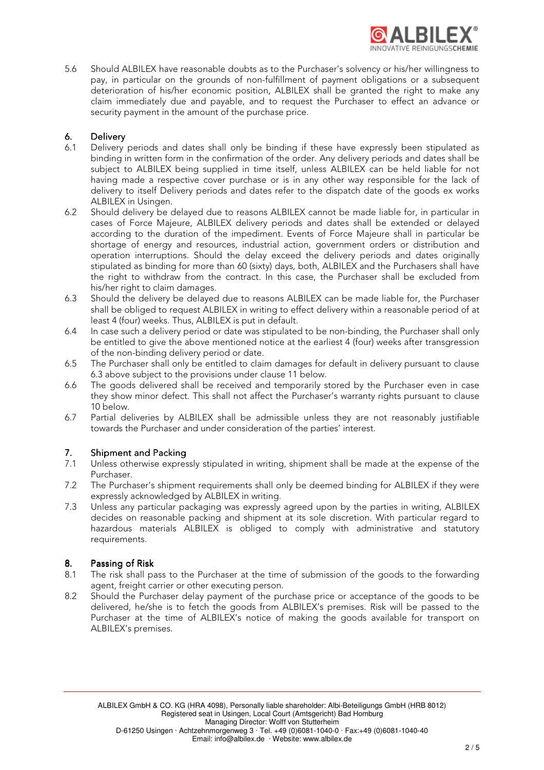

5.6 Should ALBILEX have reasonable doubts as to the Purchaser's solvency or his/her willingness to pay, in particular on the grounds of non-fulfillment of payment obligations or a subsequent deterioration of his/her economic position, ALBILEX shall be granted the right to make any claim immediately due and payable, and to request the Purchaser to effect an advance or security payment in the amount of the purchase price.

## **6.** Delivery<br>6.1 Delivery

- Delivery periods and dates shall only be binding if these have expressly been stipulated as binding in written form in the confirmation of the order. Any delivery periods and dates shall be subject to ALBILEX being supplied in time itself, unless ALBILEX can be held liable for not having made a respective cover purchase or is in any other way responsible for the lack of delivery to itself Delivery periods and dates refer to the dispatch date of the goods ex works ALBILEX in Usingen.
- 6.2 Should delivery be delayed due to reasons ALBILEX cannot be made liable for, in particular in cases of Force Majeure, ALBILEX delivery periods and dates shall be extended or delayed according to the duration of the impediment. Events of Force Majeure shall in particular be shortage of energy and resources, industrial action, government orders or distribution and operation interruptions. Should the delay exceed the delivery periods and dates originally stipulated as binding for more than 60 (sixty) days, both, ALBILEX and the Purchasers shall have the right to withdraw from the contract. In this case, the Purchaser shall be excluded from his/her right to claim damages.
- 6.3 Should the delivery be delayed due to reasons ALBILEX can be made liable for, the Purchaser shall be obliged to request ALBILEX in writing to effect delivery within a reasonable period of at least 4 (four) weeks. Thus, ALBILEX is put in default.
- 6.4 In case such a delivery period or date was stipulated to be non-binding, the Purchaser shall only be entitled to give the above mentioned notice at the earliest 4 (four) weeks after transgression of the non-binding delivery period or date.
- 6.5 The Purchaser shall only be entitled to claim damages for default in delivery pursuant to clause 6.3 above subject to the provisions under clause 11 below.
- 6.6 The goods delivered shall be received and temporarily stored by the Purchaser even in case they show minor defect. This shall not affect the Purchaser's warranty rights pursuant to clause 10 below.
- 6.7 Partial deliveries by ALBILEX shall be admissible unless they are not reasonably justifiable towards the Purchaser and under consideration of the parties' interest.

## 7. Shipment and Packing

- 7.1 Unless otherwise expressly stipulated in writing, shipment shall be made at the expense of the Purchaser.
- 7.2 The Purchaser's shipment requirements shall only be deemed binding for ALBILEX if they were expressly acknowledged by ALBILEX in writing.
- 7.3 Unless any particular packaging was expressly agreed upon by the parties in writing, ALBILEX decides on reasonable packing and shipment at its sole discretion. With particular regard to hazardous materials ALBILEX is obliged to comply with administrative and statutory requirements.

## 8. Passing of Risk

- 8.1 The risk shall pass to the Purchaser at the time of submission of the goods to the forwarding agent, freight carrier or other executing person.
- 8.2 Should the Purchaser delay payment of the purchase price or acceptance of the goods to be delivered, he/she is to fetch the goods from ALBILEX's premises. Risk will be passed to the Purchaser at the time of ALBILEX's notice of making the goods available for transport on ALBILEX's premises.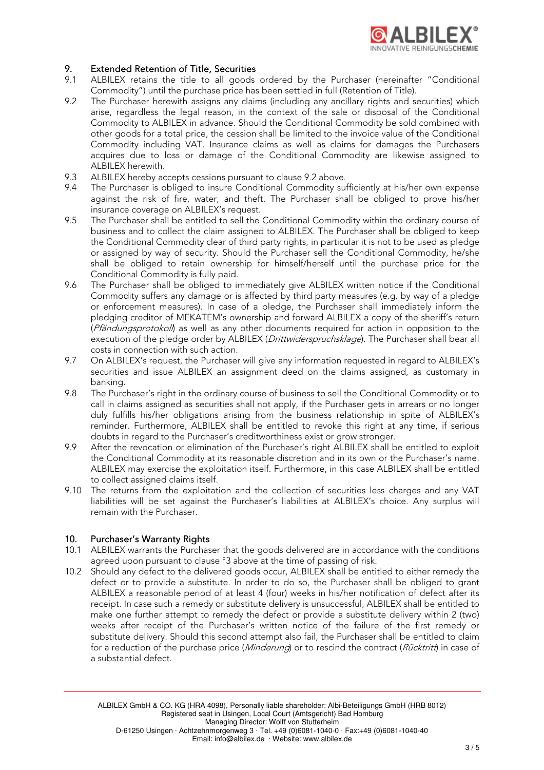

## 9. Extended Retention of Title, Securities

- 9.1 ALBILEX retains the title to all goods ordered by the Purchaser (hereinafter "Conditional Commodity") until the purchase price has been settled in full (Retention of Title).
- 9.2 The Purchaser herewith assigns any claims (including any ancillary rights and securities) which arise, regardless the legal reason, in the context of the sale or disposal of the Conditional Commodity to ALBILEX in advance. Should the Conditional Commodity be sold combined with other goods for a total price, the cession shall be limited to the invoice value of the Conditional Commodity including VAT. Insurance claims as well as claims for damages the Purchasers acquires due to loss or damage of the Conditional Commodity are likewise assigned to ALBILEX herewith.
- 9.3 ALBILEX hereby accepts cessions pursuant to clause 9.2 above.
- 9.4 The Purchaser is obliged to insure Conditional Commodity sufficiently at his/her own expense against the risk of fire, water, and theft. The Purchaser shall be obliged to prove his/her insurance coverage on ALBILEX's request.
- 9.5 The Purchaser shall be entitled to sell the Conditional Commodity within the ordinary course of business and to collect the claim assigned to ALBILEX. The Purchaser shall be obliged to keep the Conditional Commodity clear of third party rights, in particular it is not to be used as pledge or assigned by way of security. Should the Purchaser sell the Conditional Commodity, he/she shall be obliged to retain ownership for himself/herself until the purchase price for the Conditional Commodity is fully paid.
- 9.6 The Purchaser shall be obliged to immediately give ALBILEX written notice if the Conditional Commodity suffers any damage or is affected by third party measures (e.g. by way of a pledge or enforcement measures). In case of a pledge, the Purchaser shall immediately inform the pledging creditor of MEKATEM's ownership and forward ALBILEX a copy of the sheriff's return (Pfändungsprotokol) as well as any other documents required for action in opposition to the execution of the pledge order by ALBILEX (*Drittwiderspruchsklage*). The Purchaser shall bear all costs in connection with such action.
- 9.7 On ALBILEX's request, the Purchaser will give any information requested in regard to ALBILEX's securities and issue ALBILEX an assignment deed on the claims assigned, as customary in banking.
- 9.8 The Purchaser's right in the ordinary course of business to sell the Conditional Commodity or to call in claims assigned as securities shall not apply, if the Purchaser gets in arrears or no longer duly fulfills his/her obligations arising from the business relationship in spite of ALBILEX's reminder. Furthermore, ALBILEX shall be entitled to revoke this right at any time, if serious doubts in regard to the Purchaser's creditworthiness exist or grow stronger.
- 9.9 After the revocation or elimination of the Purchaser's right ALBILEX shall be entitled to exploit the Conditional Commodity at its reasonable discretion and in its own or the Purchaser's name. ALBILEX may exercise the exploitation itself. Furthermore, in this case ALBILEX shall be entitled to collect assigned claims itself.
- 9.10 The returns from the exploitation and the collection of securities less charges and any VAT liabilities will be set against the Purchaser's liabilities at ALBILEX's choice. Any surplus will remain with the Purchaser.

# 10. Purchaser's Warranty Rights<br>10.1 ALBILEX warrants the Purchas

- ALBILEX warrants the Purchaser that the goods delivered are in accordance with the conditions agreed upon pursuant to clause °3 above at the time of passing of risk.
- 10.2 Should any defect to the delivered goods occur, ALBILEX shall be entitled to either remedy the defect or to provide a substitute. In order to do so, the Purchaser shall be obliged to grant ALBILEX a reasonable period of at least 4 (four) weeks in his/her notification of defect after its receipt. In case such a remedy or substitute delivery is unsuccessful, ALBILEX shall be entitled to make one further attempt to remedy the defect or provide a substitute delivery within 2 (two) weeks after receipt of the Purchaser's written notice of the failure of the first remedy or substitute delivery. Should this second attempt also fail, the Purchaser shall be entitled to claim for a reduction of the purchase price (Minderung) or to rescind the contract (Rücktritt) in case of a substantial defect.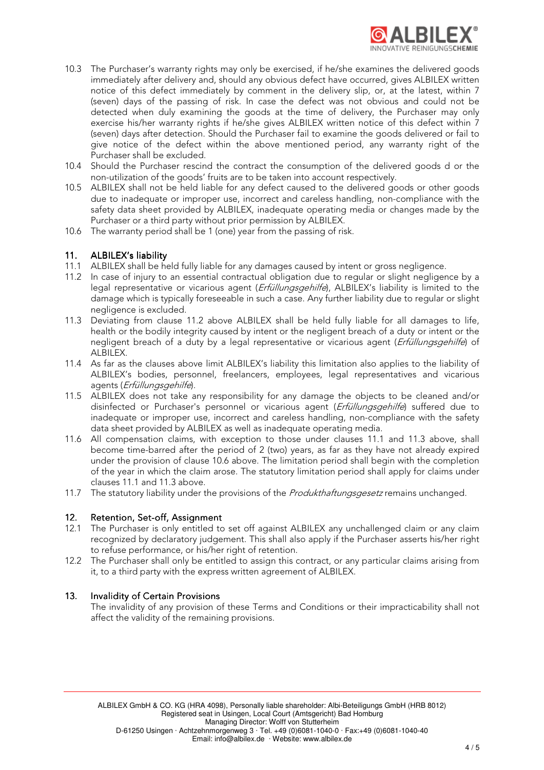

- 10.3 The Purchaser's warranty rights may only be exercised, if he/she examines the delivered goods immediately after delivery and, should any obvious defect have occurred, gives ALBILEX written notice of this defect immediately by comment in the delivery slip, or, at the latest, within 7 (seven) days of the passing of risk. In case the defect was not obvious and could not be detected when duly examining the goods at the time of delivery, the Purchaser may only exercise his/her warranty rights if he/she gives ALBILEX written notice of this defect within 7 (seven) days after detection. Should the Purchaser fail to examine the goods delivered or fail to give notice of the defect within the above mentioned period, any warranty right of the Purchaser shall be excluded.
- 10.4 Should the Purchaser rescind the contract the consumption of the delivered goods d or the non-utilization of the goods' fruits are to be taken into account respectively.
- 10.5 ALBILEX shall not be held liable for any defect caused to the delivered goods or other goods due to inadequate or improper use, incorrect and careless handling, non-compliance with the safety data sheet provided by ALBILEX, inadequate operating media or changes made by the Purchaser or a third party without prior permission by ALBILEX.
- 10.6 The warranty period shall be 1 (one) year from the passing of risk.

## 11. ALBILEX's liability

- 11.1 ALBILEX shall be held fully liable for any damages caused by intent or gross negligence.
- 11.2 In case of injury to an essential contractual obligation due to regular or slight negligence by a legal representative or vicarious agent (*Erfüllungsgehilfe*), ALBILEX's liability is limited to the damage which is typically foreseeable in such a case. Any further liability due to regular or slight negligence is excluded.
- 11.3 Deviating from clause 11.2 above ALBILEX shall be held fully liable for all damages to life, health or the bodily integrity caused by intent or the negligent breach of a duty or intent or the negligent breach of a duty by a legal representative or vicarious agent (Erfüllungsgehilfe) of ALBILEX.
- 11.4 As far as the clauses above limit ALBILEX's liability this limitation also applies to the liability of ALBILEX's bodies, personnel, freelancers, employees, legal representatives and vicarious agents (Erfüllungsgehilfe).
- 11.5 ALBILEX does not take any responsibility for any damage the objects to be cleaned and/or disinfected or Purchaser's personnel or vicarious agent (*Erfüllungsgehilfe*) suffered due to inadequate or improper use, incorrect and careless handling, non-compliance with the safety data sheet provided by ALBILEX as well as inadequate operating media.
- 11.6 All compensation claims, with exception to those under clauses 11.1 and 11.3 above, shall become time-barred after the period of 2 (two) years, as far as they have not already expired under the provision of clause 10.6 above. The limitation period shall begin with the completion of the year in which the claim arose. The statutory limitation period shall apply for claims under clauses 11.1 and 11.3 above.
- 11.7 The statutory liability under the provisions of the Produkthaftungsgesetz remains unchanged.

## 12. Retention, Set-off, Assignment

- 12.1 The Purchaser is only entitled to set off against ALBILEX any unchallenged claim or any claim recognized by declaratory judgement. This shall also apply if the Purchaser asserts his/her right to refuse performance, or his/her right of retention.
- 12.2 The Purchaser shall only be entitled to assign this contract, or any particular claims arising from it, to a third party with the express written agreement of ALBILEX.

## 13. Invalidity of Certain Provisions

The invalidity of any provision of these Terms and Conditions or their impracticability shall not affect the validity of the remaining provisions.